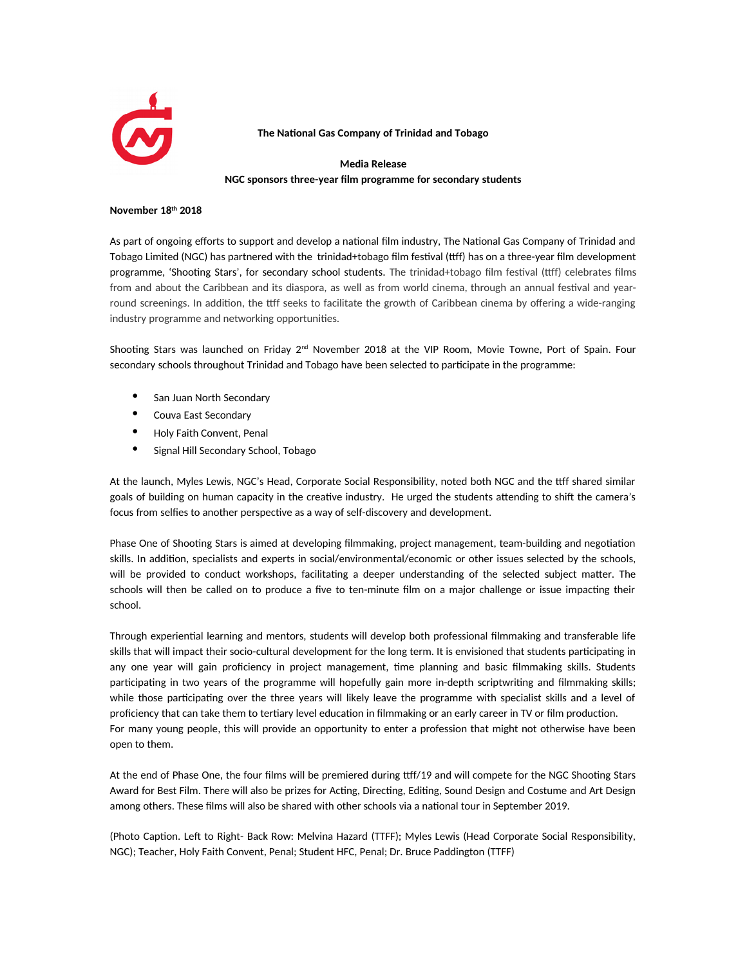

**The National Gas Company of Trinidad and Tobago**

**Media Release NGC sponsors three-year film programme for secondary students**

## **November 18th 2018**

As part of ongoing efforts to support and develop a national film industry, The National Gas Company of Trinidad and Tobago Limited (NGC) has partnered with the trinidad+tobago film festival (ttff) has on a three-year film development programme, 'Shooting Stars', for secondary school students. The trinidad+tobago film festival (ttff) celebrates films from and about the Caribbean and its diaspora, as well as from world cinema, through an annual festival and yearround screenings. In addition, the ttff seeks to facilitate the growth of Caribbean cinema by offering a wide-ranging industry programme and networking opportunities.

Shooting Stars was launched on Friday 2<sup>nd</sup> November 2018 at the VIP Room, Movie Towne, Port of Spain. Four secondary schools throughout Trinidad and Tobago have been selected to participate in the programme:

- San Juan North Secondary
- Couva East Secondary
- Holy Faith Convent, Penal
- Signal Hill Secondary School, Tobago

At the launch, Myles Lewis, NGC's Head, Corporate Social Responsibility, noted both NGC and the ttff shared similar goals of building on human capacity in the creative industry. He urged the students attending to shift the camera's focus from selfies to another perspective as a way of self-discovery and development.

Phase One of Shooting Stars is aimed at developing filmmaking, project management, team-building and negotiation skills. In addition, specialists and experts in social/environmental/economic or other issues selected by the schools, will be provided to conduct workshops, facilitating a deeper understanding of the selected subject matter. The schools will then be called on to produce a five to ten-minute film on a major challenge or issue impacting their school.

Through experiential learning and mentors, students will develop both professional filmmaking and transferable life skills that will impact their socio-cultural development for the long term. It is envisioned that students participating in any one year will gain proficiency in project management, time planning and basic filmmaking skills. Students participating in two years of the programme will hopefully gain more in-depth scriptwriting and filmmaking skills; while those participating over the three years will likely leave the programme with specialist skills and a level of proficiency that can take them to tertiary level education in filmmaking or an early career in TV or film production. For many young people, this will provide an opportunity to enter a profession that might not otherwise have been open to them.

At the end of Phase One, the four films will be premiered during ttff/19 and will compete for the NGC Shooting Stars Award for Best Film. There will also be prizes for Acting, Directing, Editing, Sound Design and Costume and Art Design among others. These films will also be shared with other schools via a national tour in September 2019.

(Photo Caption. Left to Right- Back Row: Melvina Hazard (TTFF); Myles Lewis (Head Corporate Social Responsibility, NGC); Teacher, Holy Faith Convent, Penal; Student HFC, Penal; Dr. Bruce Paddington (TTFF)